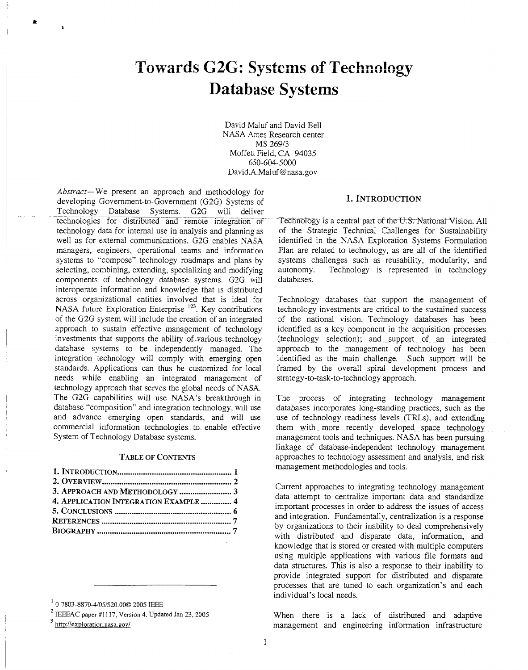# **Towards G2G: Systems of Technology Database Systems**

David Maluf and David Bell NASA Ames Research center MS 269/3 Moffett Field, CA 94035 650-604-5000 David.A.Maluf@nasa.gov

*Abstract-* We present an approach and methodology for developing Government-to-Government (G2G) Systems of Database Systems. G2G will deliver technologies for distributed and remote integration of technology data for internal use in analysis and planning as well as for external communications. G2G enables NASA managers, engineers, operational teams and information systems to "compose" technology roadmaps and plans by selecting, combining, extending, specializing and modifying components of technology database systems. G2G will interoperate information and knowledge that is distributed across organizational entities involved that is ideal for NASA future Exploration Enterprise  $123$ . Key contributions of the *G2G* system will include the creation of an integrated approach to sustain effective management of technology investments that supports the ability of various technology database systems to be independently managed. The integration technology will comply with emerging open standards. Applications can thus be customized for local needs while enabling an integrated management of technology approach that serves the global needs of NASA. The G2G capabilities will use NASA's breakthrough in database "composition" and integration technology, will use and advance emerging open standards, and will use commercial information technologies to enable effective System of Technology Database systems. Technology

#### **TABLE OF COATEATS**

| 4. APPLICATION INTEGRATION EXAMPLE  4 |  |
|---------------------------------------|--|
|                                       |  |
|                                       |  |
|                                       |  |
|                                       |  |

<sup>3</sup> http://exploration.nasa.gov/

**1** 

## **1. INTRODUCTION**

Technology is a central part of the U.S. National Vision. Allof the Strategic Technical Challenges for Sustainability identified in the NASA Expioration Systems Formulation Plan are related to technology, as are all of the identified systems challenges such **as** reusability, modularity, and autonomy. Technology is represented in technology databases.

Technology databases that support the management of technology investments are critical to the sustained success of the national vision. Technology databases has been identified as a key component in the acquisition processes (technology selection); and support of an integrated approach to the management of technoiogy has been identified as the main challenge. Such support will be framed by the overall spiral development process and strategy-to-task-to-technology approach.

The process of integrating technology management databases incorporates long-standing practices, such as the use of technology readiness levels (TRLs), and extending them with more recently developed space technology management tools and techniques. NASA has been pursuing linkage of database-independent technology management approaches to technology assessment and analysis, and risk management methodologies and tools.

Current approaches to integrating technology management data attempt to centralize important data and standardize important processes in order to address the issues of access and integration. Fundamentally, centralization is a response by organizations to their inability to deal comprehensively with distributed and disparate data, information, and knowledge that is stored or created with multiple computers using multiple applications with various file formats and data structures. This is also a response to their inability to provide integrated support for distributed and disparate processes that are tuned to each organization's and each individual's local needs.

When there is a lack of distributed and adaptive management and engineering information infrastructure

<sup>0-7803-8870-4/05/\$20.000 2005</sup> IFEE **<sup>1</sup>**

<sup>&</sup>lt;sup>2</sup> IEEEAC paper #1117, Version 4, Updated Jan 23, 2005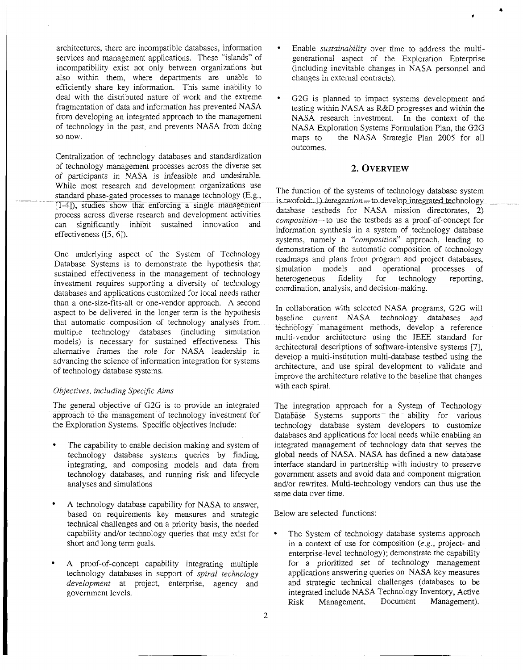architectures, there are incompatible databases, information services and management applications. These "islands" of incompatibility exist not only between organizations but also within them, where departments are unable to efficiently share key information. This same inability to deal with the distributed nature of work and the extreme fragmentation of data and information has prevented NASA from developing an integrated approach to the management of technology in the past, and prevents NASA from doing so now.

Centralization of technology databases and standardization of technology management processes across the diverse set of participants in NASA is infeasible and undesirable. While most research and development organizations use standard phase-gated processes to manage technology (E.g.,<br>  $\frac{1}{2}$ ,  $\frac{1}{2}$ ,  $\frac{1}{2}$ ,  $\frac{1}{2}$ ,  $\frac{1}{2}$ ,  $\frac{1}{2}$ ,  $\frac{1}{2}$ ,  $\frac{1}{2}$ ,  $\frac{1}{2}$ ,  $\frac{1}{2}$ ,  $\frac{1}{2}$ ,  $\frac{1}{2}$ ,  $\frac{1}{2}$ ,  $\frac{1}{2}$ ,  $\frac{1}{2}$  $(1-4)$ , studies show that enforcing a single-management process across diverse research and development activities can significantly inhibit sustained innovation and effectiveness ([5, 6]).

> One underlying aspect of the System of Technology Database Systems is to demonstrate the hypothesis that sustained effectiveness in the management of technology investment requires supporting a diversity of technology databases and applications customized for locai needs rather than a one-size-fits-all or one-vendor approach. A second aspect to be delivered in the longer term is the hypothesis that automatic composition of technology analyses from multiple technology databases (including simulation models) is necessary for sustained effectiveness. This alternative frames the role for NASA leadership in advancing the science of information integration for systems of technology database systems.

#### *Objectives, including Specific Aims*

The general objective of *G2G* is to provide an integrated approach to the management of technology investment for the Exploration Systems. Specific objectives include:

- The capability to enable decision making and system of technology database systems queries by finding, integrating, and composing models and data from technology databases, and running risk and lifecycle analyses and simulations
- A technology database capability for NASA to answer, based on requirements key measures and strategic technical challenges and on a priority basis, the needed capability and/or technology queries that may exist for short and long term goals.
- A proof-of-concept capability integrating multiple technology databases in support of *spiral technology development* at project, enterprise, agency and government levels.
- Enable *sustainability* over time to address the multigenerational aspect of the Exploration Enterprise (including inevitable changes in NASA personnel and changes in external contracts).
- *G2G* is planned to impact systems development and testing within NASA as R&D progresses and within the NASA research investment. In the context of the NASA Exploration Systems Formulation Plan, the *G2G*  maps to the NASA Strategic Plan *2005* for all outcomes.

# *2.* **OVERVIEW**

The function of the systems of technology database system is twofold: 1) integration—to develop integrated technology database testbeds for NASA mission directorates, 2) *composztioa-* to use the testbeds as a proof-of-concept for information synthesis in a system of technology database systems, namely a *"composition"* approach, leading to demonstration of the automatic composition of technology roadmaps and plans from program and project databases,<br>simulation models and operational processes of dels and operational processes of<br>fidelity for technology reporting, heterogeneous fidelity for technology reporting, coordination, analysis, and decision-making.

In collaboration with selected NASA programs, *G2G* will baseline current NASA technology databases and technology management methods, develop a reference multi-vendor architecture using the IEEE standard for architectural descriptions of software-intensive systems *[7],*  develop a multi-institution multi-database testbed using the architecture, and use spiral development to validate and improve the architecture relative to the baseline that changes with each spiral.

The integration approach for a System of Technology Database Systems supports the ability for various technology database system developers to customize databases and applications for local needs while enabling an integrated management of technology data that serves the global needs of NASA. NASA has defined a new database interface standard in partnership with industry to preserve government assets and avoid data and component migration and/or rewrites. Multi-technology vendors can thus use the same data over time.

Below are selected functions:

The System of technology database systems approach in a context of use for composition *(e.g.,* project- and enterprise-level technology); demonstrate the capability for a prioritized set of technology management applications answering queries on NASA key measures and strategic technical challenges (databases to be integrated include **NASA** Technology Inventory, Active Risk Management, Document Management).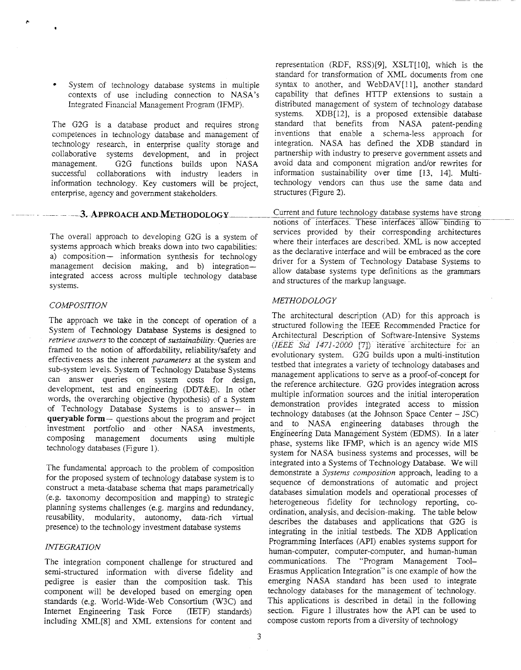$\bullet$ System of technology database systems in multiple contexts of use including connection to NASA's Integrated Financial Management Program (IFMP).

The *G2G* is a database product and requires strong competences in technology database and management of technology research, in enterprise quality storage and collaborative systems development, and in project management. *G2G* functions builds upon NASA successful collaborations with industry leaders in information technology. Key customers will be project, enterprise, agency and government stakeholders.

## 3. APPROACH AND METHODOLOGY

The overall approach to developing *G2G* is a system of systems approach which breaks down into two capabilities: a) composition- information synthesis for technology management decision making, and b) integrationintegrated access across multiple technology database systems.

#### *COMPOSITION*

The approach we take in the concept of operation of a System of Technology Database Systems is designed to *retrieve answers* to the concept of *sustainability.* Queries are framed to the notion of affordability, reliability/safety and effectiveness as the inherent *parameters* at the system and sub-system levels. System of Technology Database Systems can answer queries on system costs for design, development, test and engineering (DDT&E). In other words, the overarching objective (hypothesis) of a System of Technology Database Systems is to answer- in **queryable form-** questions about the program and project investment portfolio and other NASA investments, composing management documents using multiple technology databases (Figure 1).

The fundamental approach to the problem of composition for the proposed system of technology database system is to construct a meta-database schema that maps parametrically (e.g. taxonomy decomposition and mapping) to strategic planning systems challenges (e.g. margins and redundancy, reusability, modularity, autonomy, data-rich virtual presence) to the technology investment database systems

#### *INTEGRATION*

The integration component challenge for structured and semi-structured information with diverse fidelity and pedigree is easier than the composition task. This component will be developed based on emerging open standards (e.g. World-Wide-Web Consortium (W3C) and Internet Engineering Task Force (IETF) standards) including XML[8] and XML extensions for content and

representation (RDF, RSS)[9], XSLT[IO], which is the standard for transformation of XML documents from one syntax to another, and WebDAV[11], another standard capability that defines HTTP extensions to sustain a distributed management of system of technology database systems. XDB[12], is a proposed extensible database standard that benefits from NASA patent-pending inventions that enable a schema-less approach for integration. NASA has defined the XDB standard in partnership with industry to preserve government assets and avoid data and component migration and/or rewrites for information sustainability over time [13, 141. Multitechnology vendors can thus use the same data and structures (Figure *2).* 

Current and future technology database systems have strong notions of interfaces. These interfaces allow binding to services provided by their corresponding architectures where their interfaces are described. XML is now accepted as the declarative interface and will be embraced as the core driver for a System of Technology Database Systems to allow database systems type definitions **as** the grammars and structures of the markup language.

#### *METHODOLOGY*

The architectural description (AD) for this approach is structured following the IEEE Recommended Practice for Architectural Description of Software-Intensive Systems (IEEE *Sid 1471-2000 [7])* iterative 2:chitecture fer an evolutionary system. *G2G* builds upon a multi-institution testbed that integrates a variety of technology databases and management applications to serve as a proof-of-concept for the reference architecture. *G2G* provides integration across multiple information sources and the initial interoperation demonstration provides integrated access to mission technology databases (at the Johnson Space Center - JSC) and to NASA engineering databases through the Engineering Data Management System (EDMS). In a later phase, systems like IFMP, which is an agency wide MIS system for NASA business systems and processes, will be integrated into a Systems of Technology Database. We will demonstrate a *Systems composition* approach, leading to a sequence of demonstrations of automatic and project databases simulation models and operational processes of heterogeneous fidelity for technology reporting, coordination, analysis. and decision-making. The table below describes the databases and applications that *G2G* is integrating in the initial testbeds. The XDB Application Programming Interfaces (API) enables systems support for human-computer, computer-computer, and human-human communications. The "Program Management Tool-Erasmus Application Integration" is one example of how the emerging NASA standard has been used to integrate technology databases for the management of technology. This applications is described in detail in the following section. Figure 1 illustrates how the API can be used to compose custom reports from a diversity of technology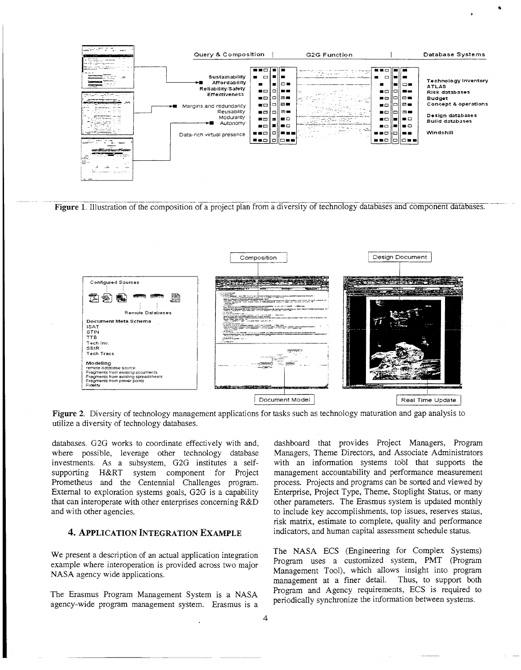

Figure 1. Illustration of the composition of a project plan from a diversity of technology databases and component databases.



Figure 2. Diversity of technology management applications for tasks such as technology maturation and gap analysis to utilize a diversity of technology databases.

databases. G2G works to coordinate effectively with and, where possible, leverage other technology database investments. As a subsystem, G2G institutes a selfsupporting H&RT system component for Project Prometheus and the Centennial Challenges program. External to exploration systems goals, G2G is a capability that can interoperate with other enterprises concerning R&D and with other agencies.

#### **4. APPLICATION INTEGRATION EXAMPLE**

We present a description of an actual application integration example where interoperation is provided across two major NASA agency wide applications.

The Erasmus Program Management System is a NASA agency-wide program management system. Erasmus is a

dashboard that provides Project Managers, Program Managers, Theme Directors, and Associate Administrators with an information systems tool that supports the management accountability and performance measurement process. Projects and programs can be sorted and viewed by Enterprise, Project Type, Theme, Stoplight Status, or many other parameters. The Erasmus system is updated monthly to include key accomplishments, top issues, reserves status, risk matrix, estimate to complete, quality and performance indicators, and human capital assessment schedule status.

The NASA ECS (Engineering for Complex Systems) Program uses a customized system, PMT (Program Management Tool), which allows insight into program management at a finer detail. Thus, to support both Program and Agency requirements, ECS is required to periodically synchronize the information between systems.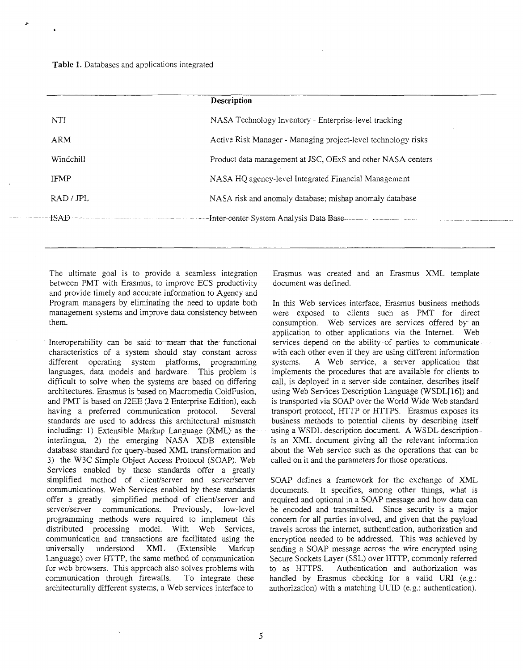**Table 1.** Databases and applications integrated

.

|            | Description                                                   |
|------------|---------------------------------------------------------------|
| <b>NTI</b> | NASA Technology Inventory - Enterprise-level tracking         |
| ARM        | Active Risk Manager - Managing project-level technology risks |
| Windchill  | Product data management at JSC, OExS and other NASA centers   |
| IFMP       | NASA HQ agency-level Integrated Financial Management          |
| RAD/JPL    | NASA risk and anomaly database; mishap anomaly database       |
|            |                                                               |

The ultimate goal is to provide a seamless integration between PMT with Erasmus, to improve ECS productivity and provide timely and accurate information to Agency and Program managers by eliminating the need to update both management systems and improve data consistency between them.

Interoperability can be said to mean that the functional characteristics of a system should stay constant across different operating system platforms, programming languages, data models and hardware. This problem is difficult to solve when the systems are based on differing architectures. Erasmus is based on Macromedia ColdFusion, and PMT is based on J2EE (Java 2 Enterprise Edition), each having a preferred communication protocol. Several standards are used to address this architectural mismatch including: 1) Extensible Markup Language (XML) as the interlingua, 2) the emerging NASA XDB extensible database standard for query-based XML transformation and 3) the W3C Simple Object Access Protocol (SOAP). Web Services enabled by these standards offer a greatly simplified method of client/server and server/server communications. Web Services enabled by these standards offer a greatly simplified method of client/server and server/server communications. Previously, low-level programming methods were required to implement this distributed processing model. With Web Services, communication and transactions are facilitated using the universally understood XML (Extensible Markup universally understood XML (Extensible Markup Language) over HTTP, the same method of communication for web browsers. This approach also solves problems with communication through firewalls. To integrate these architecturally different systems, a Web services interface to

Erasmus was created and an Erasmus XML template document was defined.

In this Web services interface, Erasmus business methods were exposed to clients such as PMT for direct consumption. Web services are services offered by an application to other applications via the Internet. Web services depend on the ability of parties to communicate with each other even if they are using different information systems. A Web service, a server application that implements the procedures that are available for clients to call, is deployed in a server-side container, describes itself using Web Services Description Language (WSDL[16]) and is transported via SOAP over the World Wide Web standard transport protocol, HTTP or HTTPS. Erasmus exposes its business methods to potential clients by describing itself using a WSDL description document. A WSDL description is an XML document giving all the relevant information about the Web service such as the operations that can be called on it and the parameters for those operations.

SOAP defines a framework for the exchange of XML documents. It specifies, among other things, what is required and optional in a SOAP message and how data can be encoded and transmitted. Since security is a major concern for all parties involved, and given that the payload travels across the internet, authentication, authorization and encryption needed to be addressed. This was achieved by sending a SOAP message across the wire encrypted using Secure Sockets Layer (SSL) over HTTP, commonly referred to as HTTPS. Authentication and authorization was handled by Erasmus checking for a valid URI (e.g.: authorization) with a matching UUID (e.g.: authentication).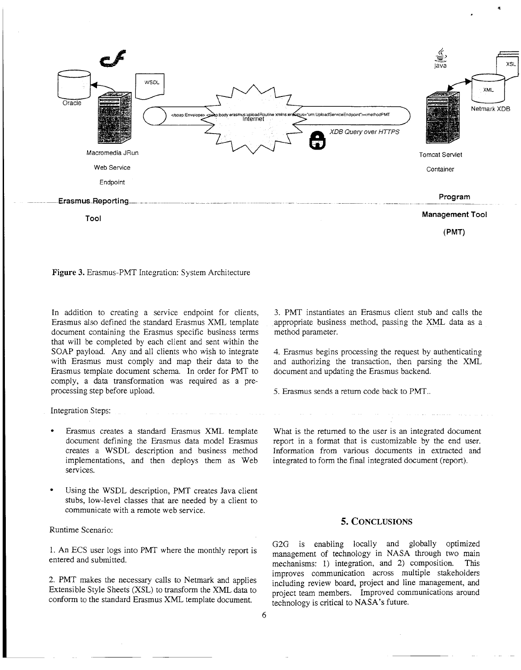

#### Figure 3. Erasmus-PMT Integration: System Architecture

In addition to creating a service endpoint for clients, Erasmus also defined the standard Erasmus XML template document containing the Erasmus specific business terms that will be completed by each client and sent within the SOAP payload. Any and all clients who wish to integrate with Erasmus must comply and map their data to the Erasmus template document schema. In order for PMT to comply, a data transformation was required as a preprocessing step before upload.

Integration Steps:

- Erasmus creates a standard Erasmus XML template document defining the Erasmus data model Erasmus creates a WSDL description and business method implementations, and then deploys them as Web services.
- Using the WSDL description, PMT creates Java client stubs, low-level classes that are needed by a client to communicate with a remote web service.

Runtime Scenario:

1. An ECS user logs into PMT where the monthly report is entered and submitted.

2. PMT makes the necessary calls to Netmark and applies Extensible Style Sheets (XSL) to transform the XML data to conform to the standard Erasmus XML template document.

3. PMT instantiates an Erasmus client stub and calls the appropriate business method, passing the XML data as a method parameter.

4. Erasmus begins processing the request by authenticating and authorizing the transaction, then parsing the XML document and updating the Erasmus backend.

5. Erasmus sends a return code back to PMT...

What is the returned to the user is an integrated document report in a format that is customizable by the end user. Information from various documents in extracted and integrated to form the final integrated document (report).

## **5. CONCLUSIONS**

G2G is enabling locally and globally optimized management of technology in NASA through two main mechanisms: 1) integration, and 2) composition. This improves communication across multiple stakeholders including review board, project and line management, and project team members. Improved communications around technology is critical to NASA's future.